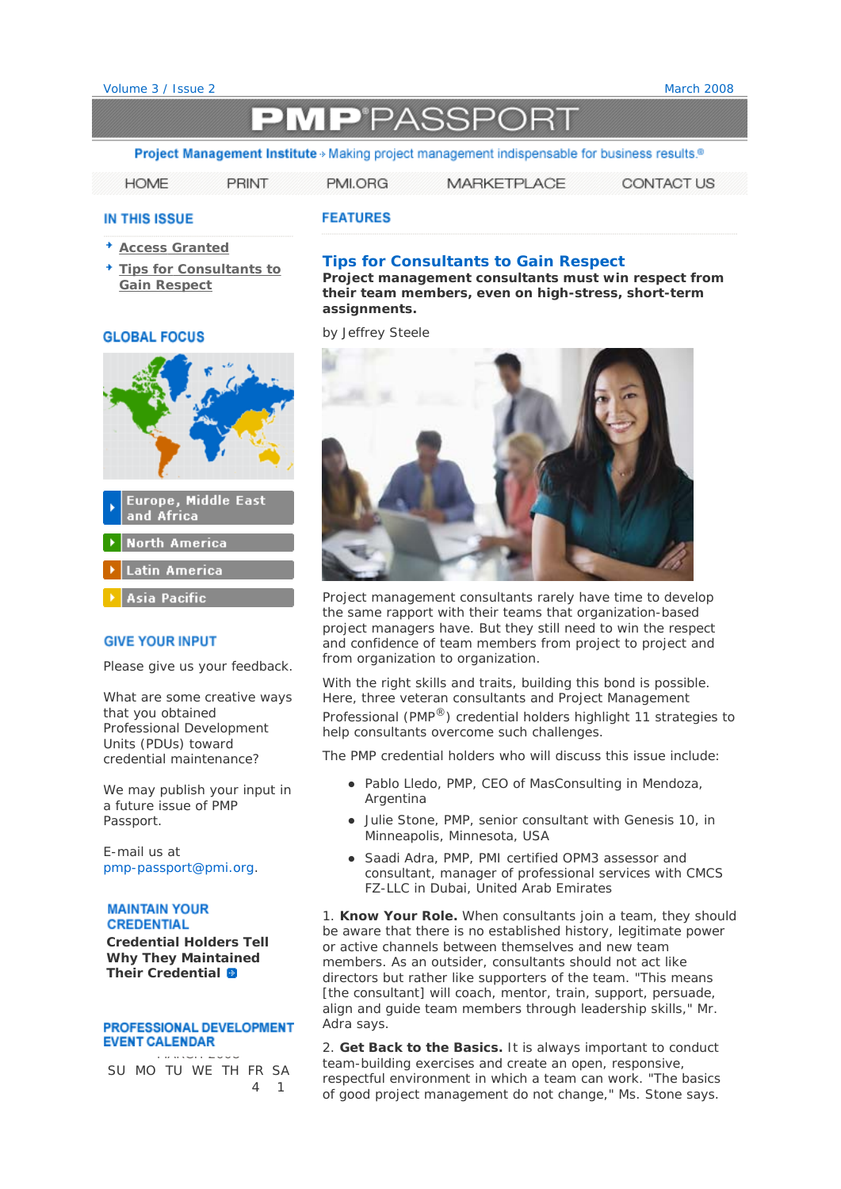# **MP**<sup>P</sup>ASSPORT

Project Management Institute » Making project management indispensable for business results.®

**PRINT HOME** PMI.ORG **MARKETPLACE** CONTACT US

### **IN THIS ISSUE**

- **Access Granted**
- **Tips for Consultants to Gain Respect**

# **Tips for Consultants to Gain Respect**

**Project management consultants must win respect from their team members, even on high-stress, short-term assignments.** 

*by Jeffrey Steele*

**FEATURES** 



Project management consultants rarely have time to develop the same rapport with their teams that organization-based project managers have. But they still need to win the respect and confidence of team members from project to project and from organization to organization.

With the right skills and traits, building this bond is possible. Here, three veteran consultants and Project Management Professional (PMP®) credential holders highlight 11 strategies to help consultants overcome such challenges.

The PMP credential holders who will discuss this issue include:

- Pablo Lledo, PMP, CEO of MasConsulting in Mendoza, Argentina
- Julie Stone, PMP, senior consultant with Genesis 10, in Minneapolis, Minnesota, USA
- Saadi Adra, PMP, PMI certified OPM3 assessor and consultant, manager of professional services with CMCS FZ-LLC in Dubai, United Arab Emirates

1. **Know Your Role.** When consultants join a team, they should be aware that there is no established history, legitimate power or active channels between themselves and new team members. As an outsider, consultants should not act like directors but rather like supporters of the team. "This means [the consultant] will coach, mentor, train, support, persuade, align and guide team members through leadership skills," Mr. Adra says.

2. **Get Back to the Basics.** It is always important to conduct team-building exercises and create an open, responsive, respectful environment in which a team can work. "The basics of good project management do not change," Ms. Stone says.

## **GLOBAL FOCUS**



# **GIVE YOUR INPUT**

Please give us your feedback.

*What are some creative ways that you obtained Professional Development Units (PDUs) toward credential maintenance?*

We may publish your input in a future issue of *PMP Passport*.

E-mail us at pmp-passport@pmi.org.

### **MAINTAIN YOUR CREDENTIAL**

**Credential Holders Tell Why They Maintained Their Credential**

# PROFESSIONAL DEVELOPMENT

march 2000 SU MO TU WE TH FR SA 4 1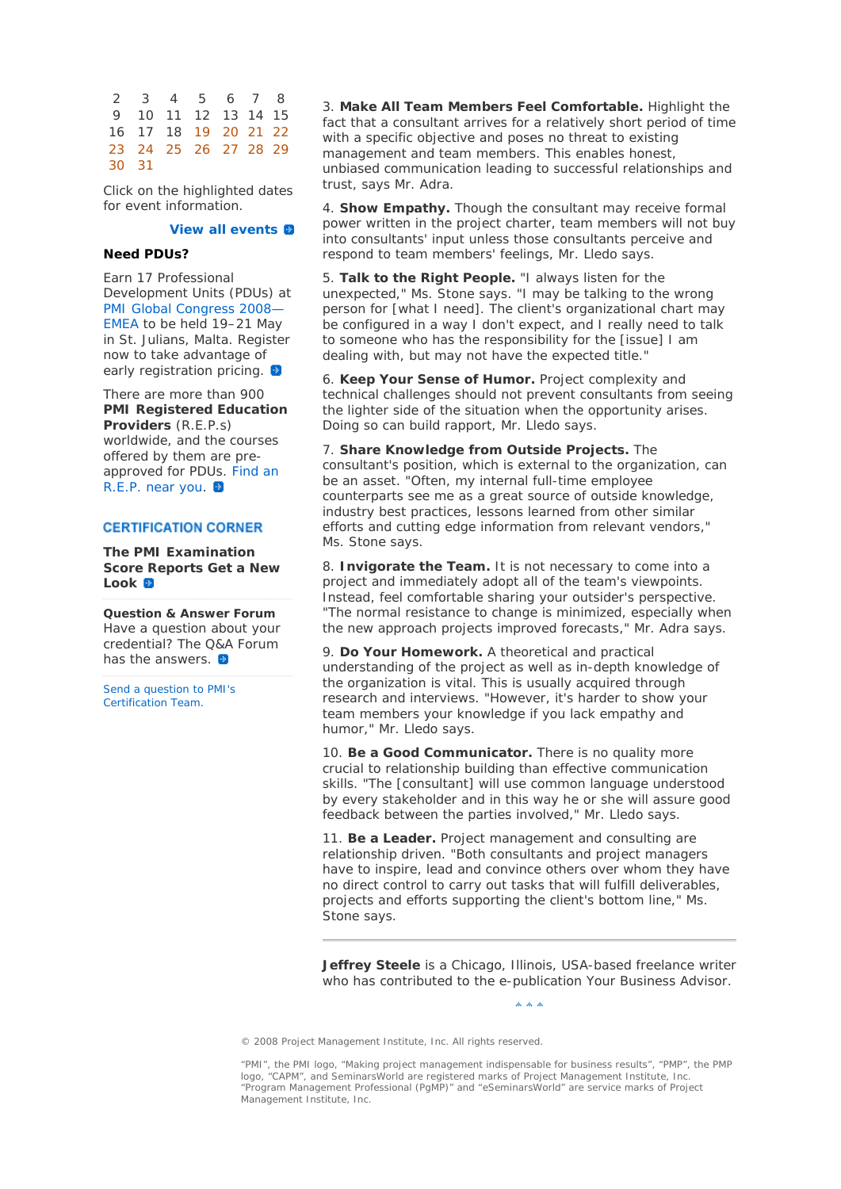2 3 4 5 678 9 10 11 12 13 14 15 16 17 18 19 20 21 22 23 24 25 26 27 28 29 30 31

Click on the highlighted dates for event information.

# **View all events**

## **Need PDUs?**

Earn 17 Professional Development Units (PDUs) at PMI Global Congress 2008— EMEA to be held 19–21 May in St. Julians, Malta. Register now to take advantage of early registration pricing. <sup>•</sup>

There are more than 900 **PMI Registered Education Providers** (R.E.P.s) worldwide, and the courses offered by them are preapproved for PDUs. Find an R.E.P. near you. <sup>19</sup>

### **CERTIFICATION CORNER**

## **The PMI Examination Score Reports Get a New Look**

**Question & Answer Forum** Have a question about your credential? The Q&A Forum has the answers.

Send a question to PMI's Certification Team.

3. **Make All Team Members Feel Comfortable.** Highlight the fact that a consultant arrives for a relatively short period of time with a specific objective and poses no threat to existing management and team members. This enables honest, unbiased communication leading to successful relationships and trust, says Mr. Adra.

4. **Show Empathy.** Though the consultant may receive formal power written in the project charter, team members will not buy into consultants' input unless those consultants perceive and respond to team members' feelings, Mr. Lledo says.

5. **Talk to the Right People.** "I always listen for the unexpected," Ms. Stone says. "I may be talking to the wrong person for [what I need]. The client's organizational chart may be configured in a way I don't expect, and I really need to talk to someone who has the responsibility for the [issue] I am dealing with, but may not have the expected title."

6. **Keep Your Sense of Humor.** Project complexity and technical challenges should not prevent consultants from seeing the lighter side of the situation when the opportunity arises. Doing so can build rapport, Mr. Lledo says.

7. **Share Knowledge from Outside Projects.** The consultant's position, which is external to the organization, can be an asset. "Often, my internal full-time employee counterparts see me as a great source of outside knowledge, industry best practices, lessons learned from other similar efforts and cutting edge information from relevant vendors," Ms. Stone says.

8. **Invigorate the Team.** It is not necessary to come into a project and immediately adopt all of the team's viewpoints. Instead, feel comfortable sharing your outsider's perspective. "The normal resistance to change is minimized, especially when the new approach projects improved forecasts," Mr. Adra says.

9. **Do Your Homework.** A theoretical and practical understanding of the project as well as in-depth knowledge of the organization is vital. This is usually acquired through research and interviews. "However, it's harder to show your team members your knowledge if you lack empathy and humor," Mr. Lledo says.

10. **Be a Good Communicator.** There is no quality more crucial to relationship building than effective communication skills. "The [consultant] will use common language understood by every stakeholder and in this way he or she will assure good feedback between the parties involved," Mr. Lledo says.

11. **Be a Leader.** Project management and consulting are relationship driven. "Both consultants and project managers have to inspire, lead and convince others over whom they have no direct control to carry out tasks that will fulfill deliverables, projects and efforts supporting the client's bottom line," Ms. Stone says.

**Jeffrey Steele** is a Chicago, Illinois, USA-based freelance writer who has contributed to the e-publication *Your Business Advisor*.

مصما

© 2008 Project Management Institute, Inc. All rights reserved.

"PMI", the PMI logo, "Making project management indispensable for business results", "PMP", the PMP logo, "CAPM", and SeminarsWorld are registered marks of Project Management Institute, Inc. "Program Management Professional (PgMP)" and "eSeminarsWorld" are service marks of Project Management Institute, Inc.